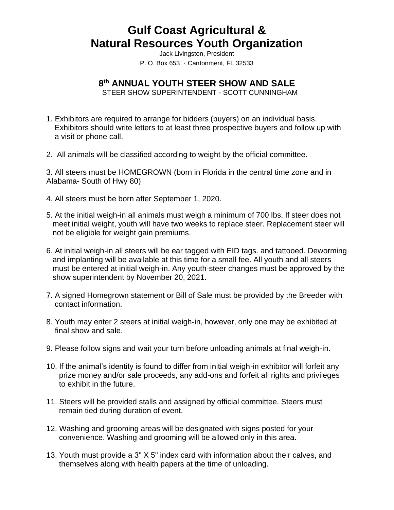## **Gulf Coast Agricultural & Natural Resources Youth Organization**

Jack Livingston, President P. O. Box  $653$   $\cdot$  Cantonment, FL 32533

## **8 th ANNUAL YOUTH STEER SHOW AND SALE**

STEER SHOW SUPERINTENDENT - SCOTT CUNNINGHAM

- 1. Exhibitors are required to arrange for bidders (buyers) on an individual basis. Exhibitors should write letters to at least three prospective buyers and follow up with a visit or phone call.
- 2. All animals will be classified according to weight by the official committee.

3. All steers must be HOMEGROWN (born in Florida in the central time zone and in Alabama- South of Hwy 80)

- 4. All steers must be born after September 1, 2020.
- 5. At the initial weigh-in all animals must weigh a minimum of 700 lbs. If steer does not meet initial weight, youth will have two weeks to replace steer. Replacement steer will not be eligible for weight gain premiums.
- 6. At initial weigh-in all steers will be ear tagged with EID tags. and tattooed. Deworming and implanting will be available at this time for a small fee. All youth and all steers must be entered at initial weigh-in. Any youth-steer changes must be approved by the show superintendent by November 20, 2021.
- 7. A signed Homegrown statement or Bill of Sale must be provided by the Breeder with contact information.
- 8. Youth may enter 2 steers at initial weigh-in, however, only one may be exhibited at final show and sale.
- 9. Please follow signs and wait your turn before unloading animals at final weigh-in.
- 10. If the animal's identity is found to differ from initial weigh-in exhibitor will forfeit any prize money and/or sale proceeds, any add-ons and forfeit all rights and privileges to exhibit in the future.
- 11. Steers will be provided stalls and assigned by official committee. Steers must remain tied during duration of event.
- 12. Washing and grooming areas will be designated with signs posted for your convenience. Washing and grooming will be allowed only in this area.
- 13. Youth must provide a 3" X 5" index card with information about their calves, and themselves along with health papers at the time of unloading.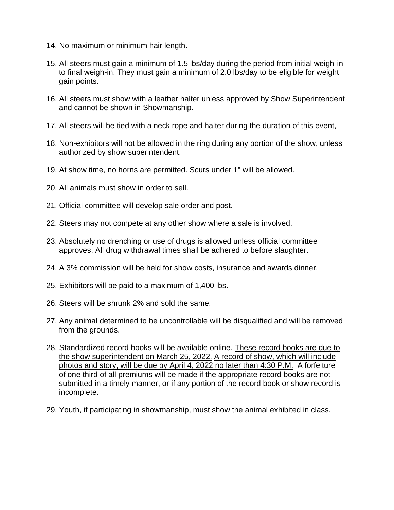- 14. No maximum or minimum hair length.
- 15. All steers must gain a minimum of 1.5 lbs/day during the period from initial weigh-in to final weigh-in. They must gain a minimum of 2.0 lbs/day to be eligible for weight gain points.
- 16. All steers must show with a leather halter unless approved by Show Superintendent and cannot be shown in Showmanship.
- 17. All steers will be tied with a neck rope and halter during the duration of this event,
- 18. Non-exhibitors will not be allowed in the ring during any portion of the show, unless authorized by show superintendent.
- 19. At show time, no horns are permitted. Scurs under 1" will be allowed.
- 20. All animals must show in order to sell.
- 21. Official committee will develop sale order and post.
- 22. Steers may not compete at any other show where a sale is involved.
- 23. Absolutely no drenching or use of drugs is allowed unless official committee approves. All drug withdrawal times shall be adhered to before slaughter.
- 24. A 3% commission will be held for show costs, insurance and awards dinner.
- 25. Exhibitors will be paid to a maximum of 1,400 lbs.
- 26. Steers will be shrunk 2% and sold the same.
- 27. Any animal determined to be uncontrollable will be disqualified and will be removed from the grounds.
- 28. Standardized record books will be available online. These record books are due to the show superintendent on March 25, 2022. A record of show, which will include photos and story, will be due by April 4, 2022 no later than 4:30 P.M. A forfeiture of one third of all premiums will be made if the appropriate record books are not submitted in a timely manner, or if any portion of the record book or show record is incomplete.
- 29. Youth, if participating in showmanship, must show the animal exhibited in class.